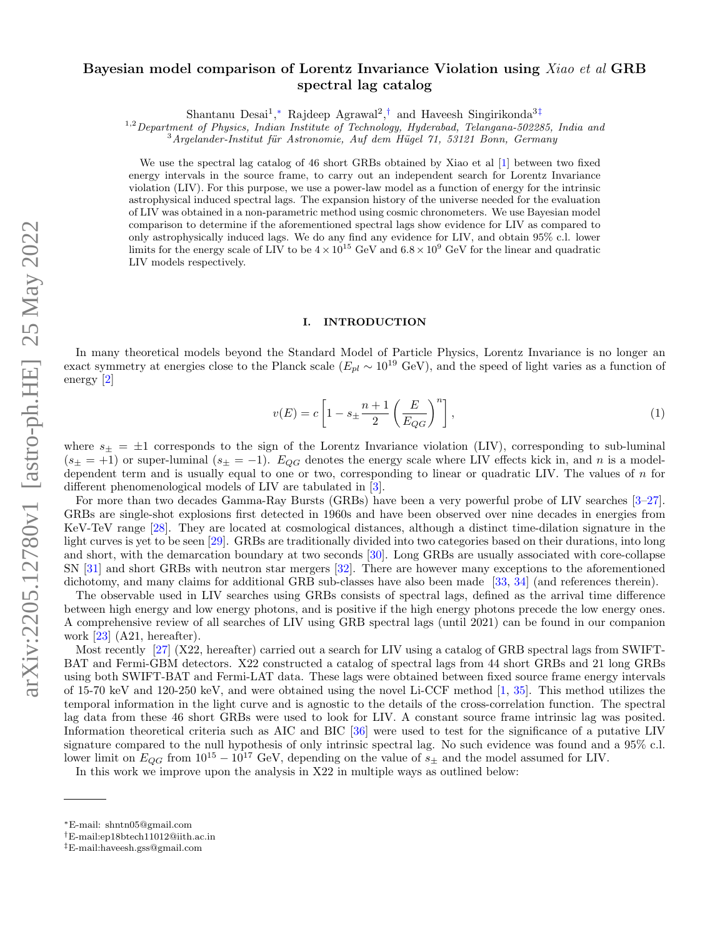# Bayesian model comparison of Lorentz Invariance Violation using Xiao et al GRB spectral lag catalog

Shantanu Desai<sup>1</sup>,<sup>\*</sup> Rajdeep Agrawal<sup>2</sup>,<sup>[†](#page-0-1)</sup> and Haveesh Singirikonda<sup>3[‡](#page-0-2)</sup>

 $1.2$  Department of Physics, Indian Institute of Technology, Hyderabad, Telangana-502285, India and

 $3$ Argelander-Institut für Astronomie, Auf dem Hügel 71, 53121 Bonn, Germany

We use the spectral lag catalog of 46 short GRBs obtained by Xiao et al [\[1\]](#page-5-0) between two fixed energy intervals in the source frame, to carry out an independent search for Lorentz Invariance violation (LIV). For this purpose, we use a power-law model as a function of energy for the intrinsic astrophysical induced spectral lags. The expansion history of the universe needed for the evaluation of LIV was obtained in a non-parametric method using cosmic chronometers. We use Bayesian model comparison to determine if the aforementioned spectral lags show evidence for LIV as compared to only astrophysically induced lags. We do any find any evidence for LIV, and obtain 95% c.l. lower limits for the energy scale of LIV to be  $4 \times 10^{15}$  GeV and  $6.8 \times 10^{9}$  GeV for the linear and quadratic LIV models respectively.

# I. INTRODUCTION

In many theoretical models beyond the Standard Model of Particle Physics, Lorentz Invariance is no longer an exact symmetry at energies close to the Planck scale ( $E_{pl} \sim 10^{19}$  GeV), and the speed of light varies as a function of energy [\[2\]](#page-5-1)

<span id="page-0-3"></span>
$$
v(E) = c \left[ 1 - s_{\pm} \frac{n+1}{2} \left( \frac{E}{E_{QG}} \right)^n \right],
$$
\n(1)

where  $s_{\pm} = \pm 1$  corresponds to the sign of the Lorentz Invariance violation (LIV), corresponding to sub-luminal  $(s_{\pm} = +1)$  or super-luminal  $(s_{\pm} = -1)$ .  $E_{QG}$  denotes the energy scale where LIV effects kick in, and n is a modeldependent term and is usually equal to one or two, corresponding to linear or quadratic LIV. The values of  $n$  for different phenomenological models of LIV are tabulated in [\[3\]](#page-5-2).

For more than two decades Gamma-Ray Bursts (GRBs) have been a very powerful probe of LIV searches [\[3–](#page-5-2)[27\]](#page-6-0). GRBs are single-shot explosions first detected in 1960s and have been observed over nine decades in energies from KeV-TeV range [\[28\]](#page-6-1). They are located at cosmological distances, although a distinct time-dilation signature in the light curves is yet to be seen [\[29\]](#page-6-2). GRBs are traditionally divided into two categories based on their durations, into long and short, with the demarcation boundary at two seconds [\[30\]](#page-6-3). Long GRBs are usually associated with core-collapse SN [\[31\]](#page-6-4) and short GRBs with neutron star mergers [\[32\]](#page-6-5). There are however many exceptions to the aforementioned dichotomy, and many claims for additional GRB sub-classes have also been made [\[33,](#page-6-6) [34\]](#page-6-7) (and references therein).

The observable used in LIV searches using GRBs consists of spectral lags, defined as the arrival time difference between high energy and low energy photons, and is positive if the high energy photons precede the low energy ones. A comprehensive review of all searches of LIV using GRB spectral lags (until 2021) can be found in our companion work [\[23\]](#page-6-8) (A21, hereafter).

Most recently [\[27\]](#page-6-0) (X22, hereafter) carried out a search for LIV using a catalog of GRB spectral lags from SWIFT-BAT and Fermi-GBM detectors. X22 constructed a catalog of spectral lags from 44 short GRBs and 21 long GRBs using both SWIFT-BAT and Fermi-LAT data. These lags were obtained between fixed source frame energy intervals of 15-70 keV and 120-250 keV, and were obtained using the novel Li-CCF method [\[1,](#page-5-0) [35\]](#page-6-9). This method utilizes the temporal information in the light curve and is agnostic to the details of the cross-correlation function. The spectral lag data from these 46 short GRBs were used to look for LIV. A constant source frame intrinsic lag was posited. Information theoretical criteria such as AIC and BIC [\[36\]](#page-6-10) were used to test for the significance of a putative LIV signature compared to the null hypothesis of only intrinsic spectral lag. No such evidence was found and a 95% c.l. lower limit on  $E_{QG}$  from  $10^{15} - 10^{17}$  GeV, depending on the value of  $s_{\pm}$  and the model assumed for LIV.

In this work we improve upon the analysis in X22 in multiple ways as outlined below:

<span id="page-0-0"></span><sup>∗</sup>E-mail: shntn05@gmail.com

<span id="page-0-1"></span><sup>†</sup>E-mail:ep18btech11012@iith.ac.in

<span id="page-0-2"></span><sup>‡</sup>E-mail:haveesh.gss@gmail.com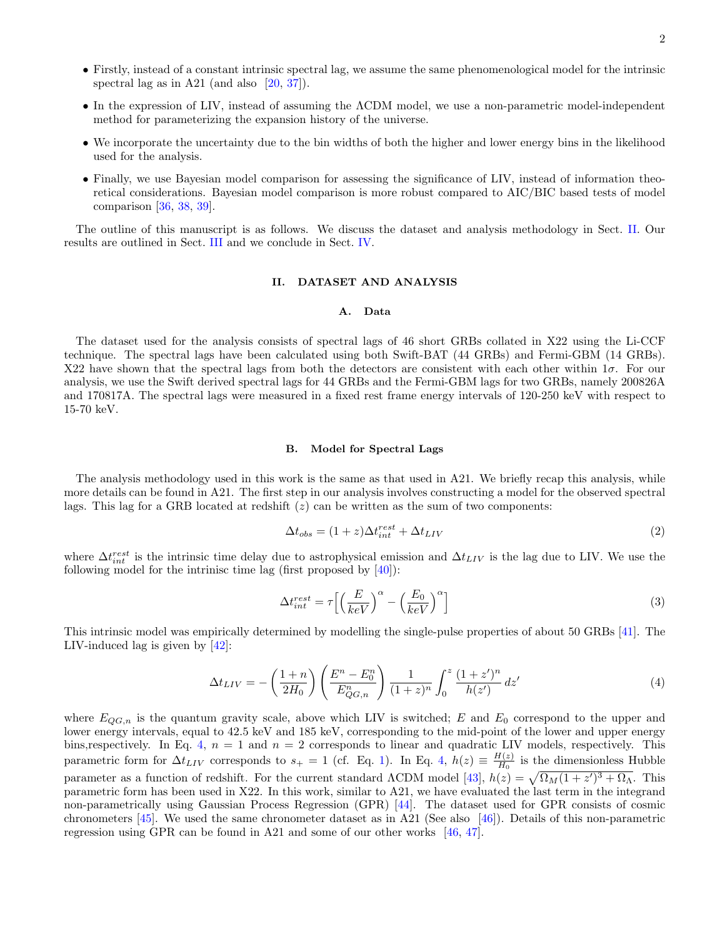- Firstly, instead of a constant intrinsic spectral lag, we assume the same phenomenological model for the intrinsic spectral lag as in A21 (and also  $[20, 37]$  $[20, 37]$  $[20, 37]$ ).
- In the expression of LIV, instead of assuming the ΛCDM model, we use a non-parametric model-independent method for parameterizing the expansion history of the universe.
- We incorporate the uncertainty due to the bin widths of both the higher and lower energy bins in the likelihood used for the analysis.
- Finally, we use Bayesian model comparison for assessing the significance of LIV, instead of information theoretical considerations. Bayesian model comparison is more robust compared to AIC/BIC based tests of model comparison [\[36,](#page-6-10) [38,](#page-6-13) [39\]](#page-6-14).

The outline of this manuscript is as follows. We discuss the dataset and analysis methodology in Sect. [II.](#page-1-0) Our results are outlined in Sect. [III](#page-2-0) and we conclude in Sect. [IV.](#page-2-1)

# <span id="page-1-0"></span>II. DATASET AND ANALYSIS

# A. Data

The dataset used for the analysis consists of spectral lags of 46 short GRBs collated in X22 using the Li-CCF technique. The spectral lags have been calculated using both Swift-BAT (44 GRBs) and Fermi-GBM (14 GRBs). X22 have shown that the spectral lags from both the detectors are consistent with each other within  $1\sigma$ . For our analysis, we use the Swift derived spectral lags for 44 GRBs and the Fermi-GBM lags for two GRBs, namely 200826A and 170817A. The spectral lags were measured in a fixed rest frame energy intervals of 120-250 keV with respect to 15-70 keV.

#### B. Model for Spectral Lags

The analysis methodology used in this work is the same as that used in A21. We briefly recap this analysis, while more details can be found in A21. The first step in our analysis involves constructing a model for the observed spectral lags. This lag for a GRB located at redshift  $(z)$  can be written as the sum of two components:

$$
\Delta t_{obs} = (1+z)\Delta t_{int}^{rest} + \Delta t_{LIV}
$$
\n(2)

where  $\Delta t_{int}^{rest}$  is the intrinsic time delay due to astrophysical emission and  $\Delta t_{LIV}$  is the lag due to LIV. We use the following model for the intrinisc time lag (first proposed by  $[40]$ ):

$$
\Delta t_{int}^{rest} = \tau \left[ \left( \frac{E}{keV} \right)^{\alpha} - \left( \frac{E_0}{keV} \right)^{\alpha} \right]
$$
 (3)

This intrinsic model was empirically determined by modelling the single-pulse properties of about 50 GRBs [\[41\]](#page-6-16). The LIV-induced lag is given by  $[42]$ :

<span id="page-1-1"></span>
$$
\Delta t_{LIV} = -\left(\frac{1+n}{2H_0}\right) \left(\frac{E^n - E_0^n}{E_{QG,n}^n}\right) \frac{1}{(1+z)^n} \int_0^z \frac{(1+z')^n}{h(z')} \, dz' \tag{4}
$$

where  $E_{QG,n}$  is the quantum gravity scale, above which LIV is switched; E and  $E_0$  correspond to the upper and lower energy intervals, equal to 42.5 keV and 185 keV, corresponding to the mid-point of the lower and upper energy bins, respectively. In Eq. [4,](#page-1-1)  $n = 1$  and  $n = 2$  corresponds to linear and quadratic LIV models, respectively. This parametric form for  $\Delta t_{LIV}$  corresponds to  $s_+ = 1$  (cf. Eq. [1\)](#page-0-3). In Eq. [4,](#page-1-1)  $h(z) \equiv \frac{H(z)}{H_0}$  $\frac{H(z)}{H_0}$  is the dimensionless Hubble parameter as a function of redshift. For the current standard  $\Lambda$ CDM model [\[43\]](#page-6-18),  $h(z) = \sqrt{\Omega_M(1+z')^3 + \Omega_\Lambda}$ . This parametric form has been used in X22. In this work, similar to A21, we have evaluated the last term in the integrand non-parametrically using Gaussian Process Regression (GPR) [\[44\]](#page-6-19). The dataset used for GPR consists of cosmic chronometers  $[45]$ . We used the same chronometer dataset as in A21 (See also  $[46]$ ). Details of this non-parametric regression using GPR can be found in A21 and some of our other works [\[46,](#page-6-21) [47\]](#page-6-22).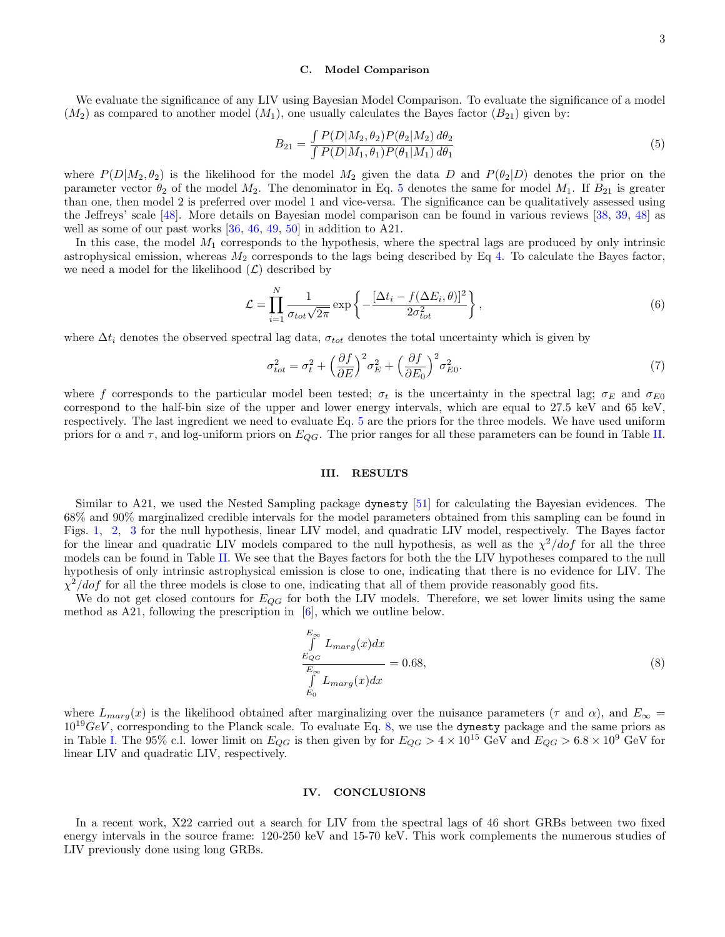### C. Model Comparison

We evaluate the significance of any LIV using Bayesian Model Comparison. To evaluate the significance of a model  $(M_2)$  as compared to another model  $(M_1)$ , one usually calculates the Bayes factor  $(B_{21})$  given by:

<span id="page-2-2"></span>
$$
B_{21} = \frac{\int P(D|M_2, \theta_2) P(\theta_2|M_2) d\theta_2}{\int P(D|M_1, \theta_1) P(\theta_1|M_1) d\theta_1}
$$
\n(5)

where  $P(D|M_2, \theta_2)$  is the likelihood for the model  $M_2$  given the data D and  $P(\theta_2|D)$  denotes the prior on the parameter vector  $\theta_2$  of the model  $M_2$ . The denominator in Eq. [5](#page-2-2) denotes the same for model  $M_1$ . If  $B_{21}$  is greater than one, then model 2 is preferred over model 1 and vice-versa. The significance can be qualitatively assessed using the Jeffreys' scale [\[48\]](#page-6-23). More details on Bayesian model comparison can be found in various reviews [\[38,](#page-6-13) [39,](#page-6-14) [48\]](#page-6-23) as well as some of our past works [\[36,](#page-6-10) [46,](#page-6-21) [49,](#page-6-24) [50\]](#page-6-25) in addition to A21.

In this case, the model  $M_1$  corresponds to the hypothesis, where the spectral lags are produced by only intrinsic astrophysical emission, whereas  $M_2$  corresponds to the lags being described by Eq [4.](#page-1-1) To calculate the Bayes factor, we need a model for the likelihood  $(\mathcal{L})$  described by

$$
\mathcal{L} = \prod_{i=1}^{N} \frac{1}{\sigma_{tot} \sqrt{2\pi}} \exp\left\{-\frac{[\Delta t_i - f(\Delta E_i, \theta)]^2}{2\sigma_{tot}^2}\right\},\tag{6}
$$

where  $\Delta t_i$  denotes the observed spectral lag data,  $\sigma_{tot}$  denotes the total uncertainty which is given by

$$
\sigma_{tot}^2 = \sigma_t^2 + \left(\frac{\partial f}{\partial E}\right)^2 \sigma_E^2 + \left(\frac{\partial f}{\partial E_0}\right)^2 \sigma_{E0}^2. \tag{7}
$$

where f corresponds to the particular model been tested;  $\sigma_t$  is the uncertainty in the spectral lag;  $\sigma_E$  and  $\sigma_{E0}$ correspond to the half-bin size of the upper and lower energy intervals, which are equal to 27.5 keV and 65 keV, respectively. The last ingredient we need to evaluate Eq. [5](#page-2-2) are the priors for the three models. We have used uniform priors for  $\alpha$  and  $\tau$ , and log-uniform priors on  $E_{QG}$ . The prior ranges for all these parameters can be found in Table [II.](#page-3-0)

# <span id="page-2-0"></span>III. RESULTS

Similar to A21, we used the Nested Sampling package dynesty [\[51\]](#page-6-26) for calculating the Bayesian evidences. The 68% and 90% marginalized credible intervals for the model parameters obtained from this sampling can be found in Figs. [1,](#page-3-1) [2,](#page-4-0) [3](#page-5-3) for the null hypothesis, linear LIV model, and quadratic LIV model, respectively. The Bayes factor for the linear and quadratic LIV models compared to the null hypothesis, as well as the  $\chi^2/dof$  for all the three models can be found in Table [II.](#page-3-0) We see that the Bayes factors for both the the LIV hypotheses compared to the null hypothesis of only intrinsic astrophysical emission is close to one, indicating that there is no evidence for LIV. The  $\chi^2/dof$  for all the three models is close to one, indicating that all of them provide reasonably good fits.

We do not get closed contours for  $E_{QG}$  for both the LIV models. Therefore, we set lower limits using the same method as A21, following the prescription in [\[6\]](#page-5-4), which we outline below.

<span id="page-2-3"></span>
$$
\frac{\int_{E_{QG}}^{E_{\infty}} L_{marg}(x)dx}{\int_{E_{\infty}}^{E_{\infty}} L_{marg}(x)dx} = 0.68,
$$
\n(8)

where  $L_{marg}(x)$  is the likelihood obtained after marginalizing over the nuisance parameters ( $\tau$  and  $\alpha$ ), and  $E_{\infty}$  =  $10^{19}GeV$ , corresponding to the Planck scale. To evaluate Eq. [8,](#page-2-3) we use the dynesty package and the same priors as in Table [I.](#page-3-2) The 95% c.l. lower limit on  $E_{QG}$  is then given by for  $E_{QG} > 4 \times 10^{15}$  GeV and  $E_{QG} > 6.8 \times 10^9$  GeV for linear LIV and quadratic LIV, respectively.

# <span id="page-2-1"></span>IV. CONCLUSIONS

In a recent work, X22 carried out a search for LIV from the spectral lags of 46 short GRBs between two fixed energy intervals in the source frame: 120-250 keV and 15-70 keV. This work complements the numerous studies of LIV previously done using long GRBs.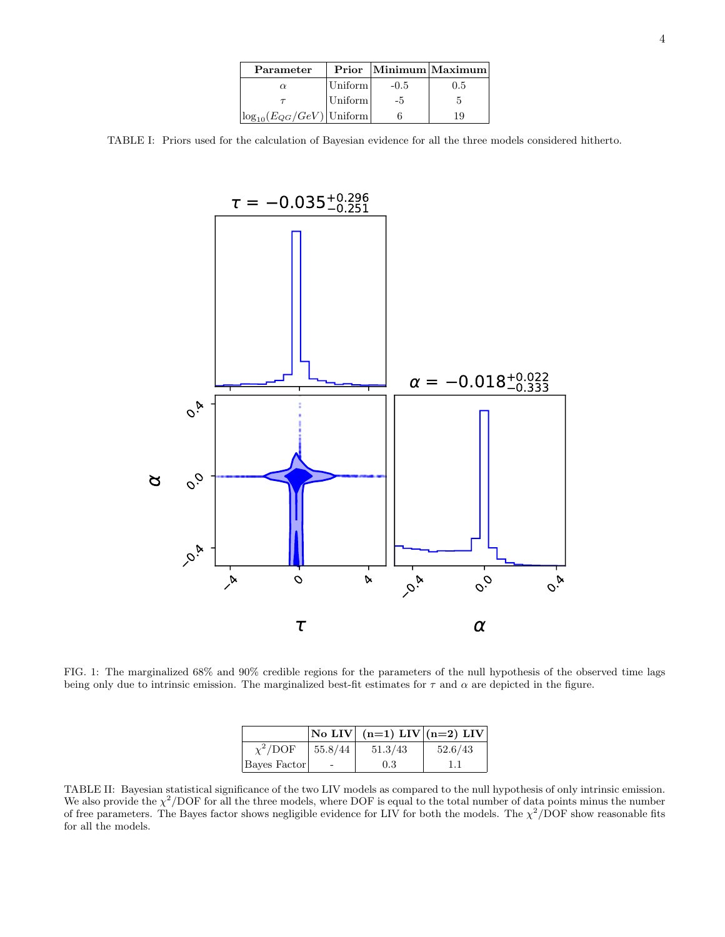| Parameter                         | Prior   |        | $ \text{Minimum} $ Maximum |
|-----------------------------------|---------|--------|----------------------------|
| $\alpha$                          | Uniform | $-0.5$ | 0.5                        |
|                                   | Uniform | $-5$   |                            |
| $ \log_{10}(E_{QG}/GeV) $ Uniform |         |        | 19                         |

TABLE I: Priors used for the calculation of Bayesian evidence for all the three models considered hitherto.

<span id="page-3-2"></span>

<span id="page-3-1"></span>FIG. 1: The marginalized 68% and 90% credible regions for the parameters of the null hypothesis of the observed time lags being only due to intrinsic emission. The marginalized best-fit estimates for  $\tau$  and  $\alpha$  are depicted in the figure.

|               |         | No LIV $(n=1)$ LIV $(n=2)$ LIV |         |
|---------------|---------|--------------------------------|---------|
| $\chi^2$ /DOF | 55.8/44 | 51.3/43                        | 52.6/43 |
| Bayes Factor  |         | 0.3                            |         |

<span id="page-3-0"></span>TABLE II: Bayesian statistical significance of the two LIV models as compared to the null hypothesis of only intrinsic emission. We also provide the  $\chi^2$ /DOF for all the three models, where DOF is equal to the total number of data points minus the number of free parameters. The Bayes factor shows negligible evidence for LIV for both the models. The  $\chi^2/\text{DOF}$  show reasonable fits for all the models.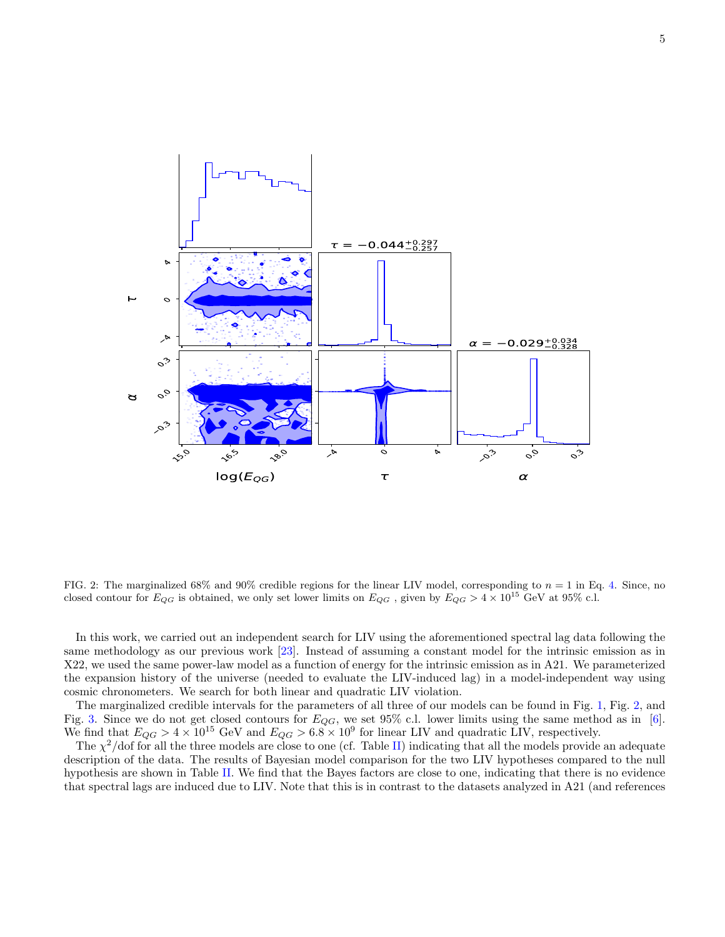

<span id="page-4-0"></span>FIG. 2: The marginalized 68% and 90% credible regions for the linear LIV model, corresponding to  $n = 1$  in Eq. [4.](#page-1-1) Since, no closed contour for  $E_{QG}$  is obtained, we only set lower limits on  $E_{QG}$ , given by  $E_{QG} > 4 \times 10^{15}$  GeV at 95% c.l.

In this work, we carried out an independent search for LIV using the aforementioned spectral lag data following the same methodology as our previous work [\[23\]](#page-6-8). Instead of assuming a constant model for the intrinsic emission as in X22, we used the same power-law model as a function of energy for the intrinsic emission as in A21. We parameterized the expansion history of the universe (needed to evaluate the LIV-induced lag) in a model-independent way using cosmic chronometers. We search for both linear and quadratic LIV violation.

The marginalized credible intervals for the parameters of all three of our models can be found in Fig. [1,](#page-3-1) Fig. [2,](#page-4-0) and Fig. [3.](#page-5-3) Since we do not get closed contours for  $E_{QG}$ , we set 95% c.l. lower limits using the same method as in [\[6\]](#page-5-4). We find that  $E_{QG} > 4 \times 10^{15}$  GeV and  $E_{QG} > 6.8 \times 10^9$  for linear LIV and quadratic LIV, respectively.

The  $\chi^2$ /dof for all the three models are close to one (cf. Table [II\)](#page-3-0) indicating that all the models provide an adequate description of the data. The results of Bayesian model comparison for the two LIV hypotheses compared to the null hypothesis are shown in Table [II.](#page-3-0) We find that the Bayes factors are close to one, indicating that there is no evidence that spectral lags are induced due to LIV. Note that this is in contrast to the datasets analyzed in A21 (and references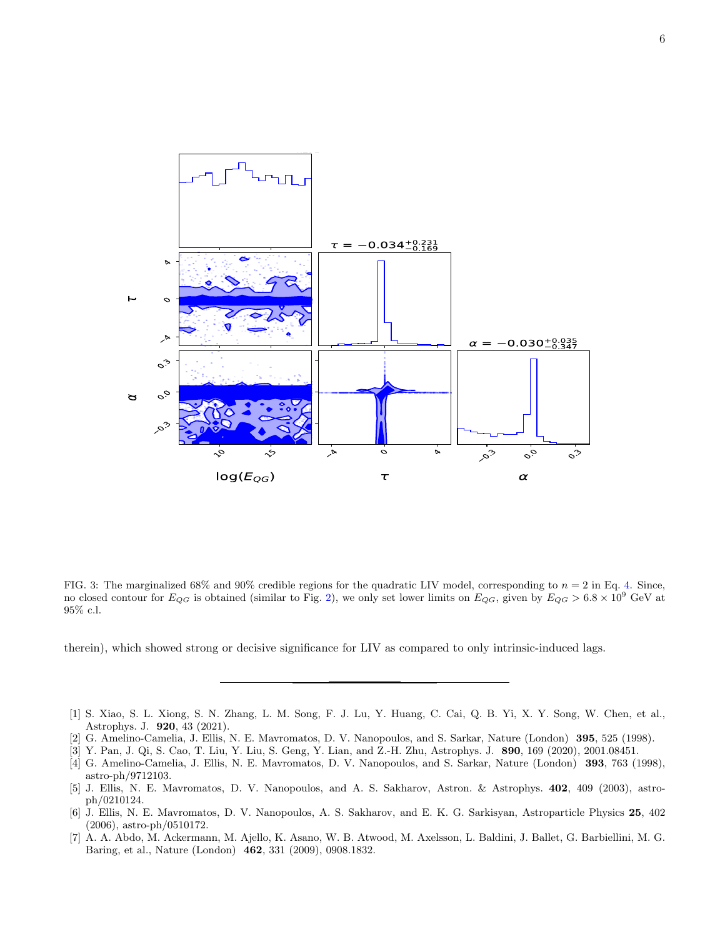

<span id="page-5-3"></span>FIG. 3: The marginalized  $68\%$  and  $90\%$  credible regions for the quadratic LIV model, corresponding to  $n = 2$  in Eq. [4.](#page-1-1) Since, no closed contour for  $E_{QG}$  is obtained (similar to Fig. [2\)](#page-4-0), we only set lower limits on  $E_{QG}$ , given by  $E_{QG} > 6.8 \times 10^9$  GeV at 95% c.l.

therein), which showed strong or decisive significance for LIV as compared to only intrinsic-induced lags.

- <span id="page-5-0"></span>[1] S. Xiao, S. L. Xiong, S. N. Zhang, L. M. Song, F. J. Lu, Y. Huang, C. Cai, Q. B. Yi, X. Y. Song, W. Chen, et al., Astrophys. J. 920, 43 (2021).
- <span id="page-5-1"></span>[2] G. Amelino-Camelia, J. Ellis, N. E. Mavromatos, D. V. Nanopoulos, and S. Sarkar, Nature (London) 395, 525 (1998).
- <span id="page-5-2"></span>[3] Y. Pan, J. Qi, S. Cao, T. Liu, Y. Liu, S. Geng, Y. Lian, and Z.-H. Zhu, Astrophys. J. 890, 169 (2020), 2001.08451.
- [4] G. Amelino-Camelia, J. Ellis, N. E. Mavromatos, D. V. Nanopoulos, and S. Sarkar, Nature (London) 393, 763 (1998), astro-ph/9712103.
- [5] J. Ellis, N. E. Mavromatos, D. V. Nanopoulos, and A. S. Sakharov, Astron. & Astrophys. 402, 409 (2003), astroph/0210124.
- <span id="page-5-4"></span>[6] J. Ellis, N. E. Mavromatos, D. V. Nanopoulos, A. S. Sakharov, and E. K. G. Sarkisyan, Astroparticle Physics 25, 402 (2006), astro-ph/0510172.
- [7] A. A. Abdo, M. Ackermann, M. Ajello, K. Asano, W. B. Atwood, M. Axelsson, L. Baldini, J. Ballet, G. Barbiellini, M. G. Baring, et al., Nature (London) 462, 331 (2009), 0908.1832.